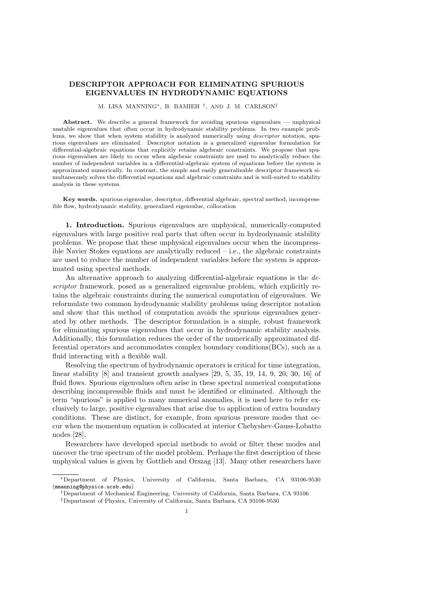## DESCRIPTOR APPROACH FOR ELIMINATING SPURIOUS EIGENVALUES IN HYDRODYNAMIC EQUATIONS

## M. LISA MANNING<sup>∗</sup> , B. BAMIEH † , AND J. M. CARLSON‡

Abstract. We describe a general framework for avoiding spurious eigenvalues — unphysical unstable eigenvalues that often occur in hydrodynamic stability problems. In two example problems, we show that when system stability is analyzed numerically using *descriptor* notation, spurious eigenvalues are eliminated. Descriptor notation is a generalized eigenvalue formulation for differential-algebraic equations that explicitly retains algebraic constraints. We propose that spurious eigenvalues are likely to occur when algebraic constraints are used to analytically reduce the number of independent variables in a differential-algebraic system of equations before the system is approximated numerically. In contrast, the simple and easily generalizable descriptor framework simultaneously solves the differential equations and algebraic constraints and is well-suited to stability analysis in these systems.

Key words. spurious eigenvalue, descriptor, differential algebraic, spectral method, incompressible flow, hydrodynamic stability, generalized eigenvalue, collocation

1. Introduction. Spurious eigenvalues are unphysical, numerically-computed eigenvalues with large positive real parts that often occur in hydrodynamic stability problems. We propose that these unphysical eigenvalues occur when the incompressible Navier Stokes equations are analytically reduced  $-$  i.e., the algebraic constraints are used to reduce the number of independent variables before the system is approximated using spectral methods.

An alternative approach to analyzing differential-algebraic equations is the descriptor framework, posed as a generalized eigenvalue problem, which explicitly retains the algebraic constraints during the numerical computation of eigenvalues. We reformulate two common hydrodynamic stability problems using descriptor notation and show that this method of computation avoids the spurious eigenvalues generated by other methods. The descriptor formulation is a simple, robust framework for eliminating spurious eigenvalues that occur in hydrodynamic stability analysis. Additionally, this formulation reduces the order of the numerically approximated differential operators and accommodates complex boundary conditions(BCs), such as a fluid interacting with a flexible wall.

Resolving the spectrum of hydrodynamic operators is critical for time integration, linear stability [8] and transient growth analyses [29, 5, 35, 19, 14, 9, 20, 30, 16] of fluid flows. Spurious eigenvalues often arise in these spectral numerical computations describing incompressible fluids and must be identified or eliminated. Although the term "spurious" is applied to many numerical anomalies, it is used here to refer exclusively to large, positive eigenvalues that arise due to application of extra boundary conditions. These are distinct, for example, from spurious pressure modes that occur when the momentum equation is collocated at interior Chebyshev-Gauss-Lobatto nodes [28].

Researchers have developed special methods to avoid or filter these modes and uncover the true spectrum of the model problem. Perhaps the first description of these unphysical values is given by Gottlieb and Orszag [13]. Many other researchers have

<sup>∗</sup>Department of Physics, University of California, Santa Barbara, CA 93106-9530 (mmanning@physics.ucsb.edu).

<sup>†</sup>Department of Mechanical Engineering, University of California, Santa Barbara, CA 93106 ‡Department of Physics, University of California, Santa Barbara, CA 93106-9530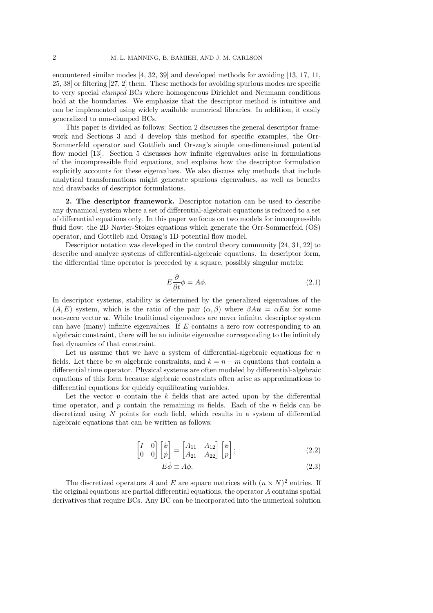encountered similar modes [4, 32, 39] and developed methods for avoiding [13, 17, 11, 25, 38] or filtering [27, 2] them. These methods for avoiding spurious modes are specific to very special clamped BCs where homogeneous Dirichlet and Neumann conditions hold at the boundaries. We emphasize that the descriptor method is intuitive and can be implemented using widely available numerical libraries. In addition, it easily generalized to non-clamped BCs.

This paper is divided as follows: Section 2 discusses the general descriptor framework and Sections 3 and 4 develop this method for specific examples, the Orr-Sommerfeld operator and Gottlieb and Orszag's simple one-dimensional potential flow model [13]. Section 5 discusses how infinite eigenvalues arise in formulations of the incompressible fluid equations, and explains how the descriptor formulation explicitly accounts for these eigenvalues. We also discuss why methods that include analytical transformations might generate spurious eigenvalues, as well as benefits and drawbacks of descriptor formulations.

2. The descriptor framework. Descriptor notation can be used to describe any dynamical system where a set of differential-algebraic equations is reduced to a set of differential equations only. In this paper we focus on two models for incompressible fluid flow: the 2D Navier-Stokes equations which generate the Orr-Sommerfeld (OS) operator, and Gottlieb and Orszag's 1D potential flow model.

Descriptor notation was developed in the control theory community [24, 31, 22] to describe and analyze systems of differential-algebraic equations. In descriptor form, the differential time operator is preceded by a square, possibly singular matrix:

$$
E\frac{\partial}{\partial t}\phi = A\phi.
$$
 (2.1)

In descriptor systems, stability is determined by the generalized eigenvalues of the  $(A, E)$  system, which is the ratio of the pair  $(\alpha, \beta)$  where  $\beta A u = \alpha E u$  for some non-zero vector  $u$ . While traditional eigenvalues are never infinite, descriptor system can have (many) infinite eigenvalues. If E contains a zero row corresponding to an algebraic constraint, there will be an infinite eigenvalue corresponding to the infinitely fast dynamics of that constraint.

Let us assume that we have a system of differential-algebraic equations for  $n$ fields. Let there be m algebraic constraints, and  $k = n - m$  equations that contain a differential time operator. Physical systems are often modeled by differential-algebraic equations of this form because algebraic constraints often arise as approximations to differential equations for quickly equilibrating variables.

Let the vector  $\boldsymbol{v}$  contain the k fields that are acted upon by the differential time operator, and  $p$  contain the remaining  $m$  fields. Each of the  $n$  fields can be discretized using  $N$  points for each field, which results in a system of differential algebraic equations that can be written as follows:

$$
\begin{bmatrix} I & 0 \\ 0 & 0 \end{bmatrix} \begin{bmatrix} \dot{v} \\ \dot{p} \end{bmatrix} = \begin{bmatrix} A_{11} & A_{12} \\ A_{21} & A_{22} \end{bmatrix} \begin{bmatrix} v \\ p \end{bmatrix};
$$
\n(2.2)

$$
E\dot{\phi} \equiv A\phi. \tag{2.3}
$$

The discretized operators A and E are square matrices with  $(n \times N)^2$  entries. If the original equations are partial differential equations, the operator A contains spatial derivatives that require BCs. Any BC can be incorporated into the numerical solution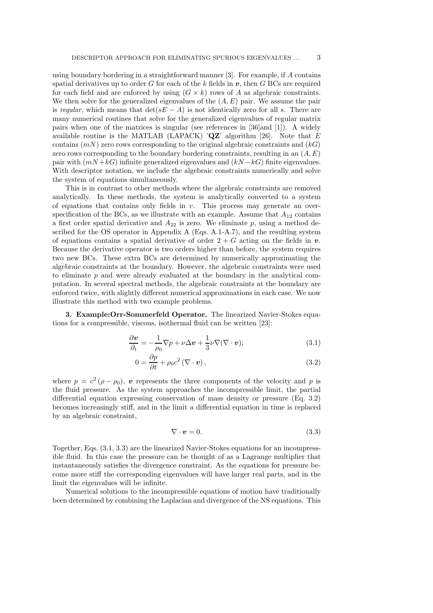using boundary bordering in a straightforward manner [3]. For example, if A contains spatial derivatives up to order G for each of the k fields in  $v$ , then G BCs are required for each field and are enforced by using  $(G \times k)$  rows of A as algebraic constraints. We then solve for the generalized eigenvalues of the  $(A, E)$  pair. We assume the pair is regular, which means that  $\det(sE - A)$  is not identically zero for all s. There are many numerical routines that solve for the generalized eigenvalues of regular matrix pairs when one of the matrices is singular (see references in [36]and [1]). A widely available routine is the MATLAB (LAPACK) ' $QZ'$  algorithm [26]. Note that E contains  $(mN)$  zero rows corresponding to the original algebraic constraints and  $(kG)$ zero rows corresponding to the boundary bordering constraints, resulting in an  $(A, E)$ pair with  $(mN + kG)$  infinite generalized eigenvalues and  $(kN - kG)$  finite eigenvalues. With descriptor notation, we include the algebraic constraints numerically and solve the system of equations simultaneously.

This is in contrast to other methods where the algebraic constraints are removed analytically. In these methods, the system is analytically converted to a system of equations that contains only fields in  $v$ . This process may generate an overspecification of the BCs, as we illustrate with an example. Assume that  $A_{12}$  contains a first order spatial derivative and  $A_{22}$  is zero. We eliminate p, using a method described for the OS operator in Appendix A (Eqs. A.1-A.7), and the resulting system of equations contains a spatial derivative of order  $2 + G$  acting on the fields in v. Because the derivative operator is two orders higher than before, the system requires two new BCs. These extra BCs are determined by numerically approximating the algebraic constraints at the boundary. However, the algebraic constraints were used to eliminate  $p$  and were already evaluated at the boundary in the analytical computation. In several spectral methods, the algebraic constraints at the boundary are enforced twice, with slightly different numerical approximations in each case. We now illustrate this method with two example problems.

3. Example:Orr-Sommerfeld Operator. The linearized Navier-Stokes equations for a compressible, viscous, isothermal fluid can be written [23]:

$$
\frac{\partial \mathbf{v}}{\partial_t} = -\frac{1}{\rho_0} \nabla p + \nu \Delta \mathbf{v} + \frac{1}{3} \nu \nabla (\nabla \cdot \mathbf{v});\tag{3.1}
$$

$$
0 = \frac{\partial p}{\partial t} + \rho_0 c^2 (\nabla \cdot \mathbf{v}), \qquad (3.2)
$$

where  $p = c^2 (\rho - \rho_0)$ , v represents the three components of the velocity and p is the fluid pressure. As the system approaches the incompressible limit, the partial differential equation expressing conservation of mass density or pressure (Eq. 3.2) becomes increasingly stiff, and in the limit a differential equation in time is replaced by an algebraic constraint,

$$
\nabla \cdot \mathbf{v} = 0. \tag{3.3}
$$

Together, Eqs. (3.1, 3.3) are the linearized Navier-Stokes equations for an incompressible fluid. In this case the pressure can be thought of as a Lagrange multiplier that instantaneously satisfies the divergence constraint. As the equations for pressure become more stiff the corresponding eigenvalues will have larger real parts, and in the limit the eigenvalues will be infinite.

Numerical solutions to the incompressible equations of motion have traditionally been determined by combining the Laplacian and divergence of the NS equations. This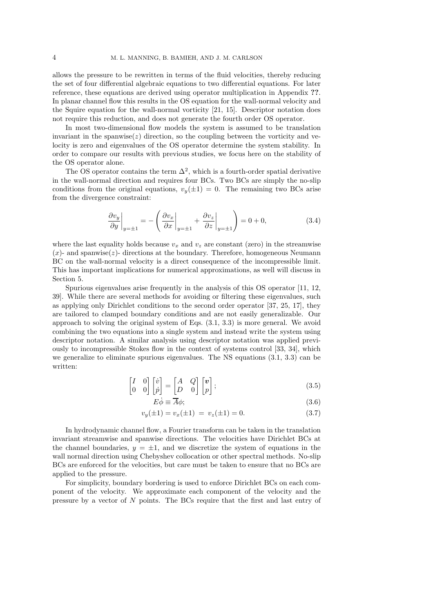allows the pressure to be rewritten in terms of the fluid velocities, thereby reducing the set of four differential algebraic equations to two differential equations. For later reference, these equations are derived using operator multiplication in Appendix ??. In planar channel flow this results in the OS equation for the wall-normal velocity and the Squire equation for the wall-normal vorticity [21, 15]. Descriptor notation does not require this reduction, and does not generate the fourth order OS operator.

In most two-dimensional flow models the system is assumed to be translation invariant in the spanwise( $z$ ) direction, so the coupling between the vorticity and velocity is zero and eigenvalues of the OS operator determine the system stability. In order to compare our results with previous studies, we focus here on the stability of the OS operator alone.

The OS operator contains the term  $\Delta^2$ , which is a fourth-order spatial derivative in the wall-normal direction and requires four BCs. Two BCs are simply the no-slip conditions from the original equations,  $v_y(\pm 1) = 0$ . The remaining two BCs arise from the divergence constraint:

$$
\left. \frac{\partial v_y}{\partial y} \right|_{y=\pm 1} = -\left( \left. \frac{\partial v_x}{\partial x} \right|_{y=\pm 1} + \left. \frac{\partial v_z}{\partial z} \right|_{y=\pm 1} \right) = 0 + 0, \tag{3.4}
$$

where the last equality holds because  $v_x$  and  $v_z$  are constant (zero) in the streamwise  $(x)$ - and spanwise(z)- directions at the boundary. Therefore, homogeneous Neumann BC on the wall-normal velocity is a direct consequence of the incompressible limit. This has important implications for numerical approximations, as well will discuss in Section 5.

Spurious eigenvalues arise frequently in the analysis of this OS operator [11, 12, 39]. While there are several methods for avoiding or filtering these eigenvalues, such as applying only Dirichlet conditions to the second order operator [37, 25, 17], they are tailored to clamped boundary conditions and are not easily generalizable. Our approach to solving the original system of Eqs. (3.1, 3.3) is more general. We avoid combining the two equations into a single system and instead write the system using descriptor notation. A similar analysis using descriptor notation was applied previously to incompressible Stokes flow in the context of systems control [33, 34], which we generalize to eliminate spurious eigenvalues. The NS equations (3.1, 3.3) can be written:

$$
\begin{bmatrix} I & 0 \\ 0 & 0 \end{bmatrix} \begin{bmatrix} \dot{v} \\ \dot{p} \end{bmatrix} = \begin{bmatrix} A & Q \\ D & 0 \end{bmatrix} \begin{bmatrix} v \\ p \end{bmatrix};
$$
\n(3.5)

$$
E\dot{\phi} \equiv \overline{A}\phi; \tag{3.6}
$$

$$
v_y(\pm 1) = v_x(\pm 1) = v_z(\pm 1) = 0.
$$
\n(3.7)

In hydrodynamic channel flow, a Fourier transform can be taken in the translation invariant streamwise and spanwise directions. The velocities have Dirichlet BCs at the channel boundaries,  $y = \pm 1$ , and we discretize the system of equations in the wall normal direction using Chebyshev collocation or other spectral methods. No-slip BCs are enforced for the velocities, but care must be taken to ensure that no BCs are applied to the pressure.

For simplicity, boundary bordering is used to enforce Dirichlet BCs on each component of the velocity. We approximate each component of the velocity and the pressure by a vector of N points. The BCs require that the first and last entry of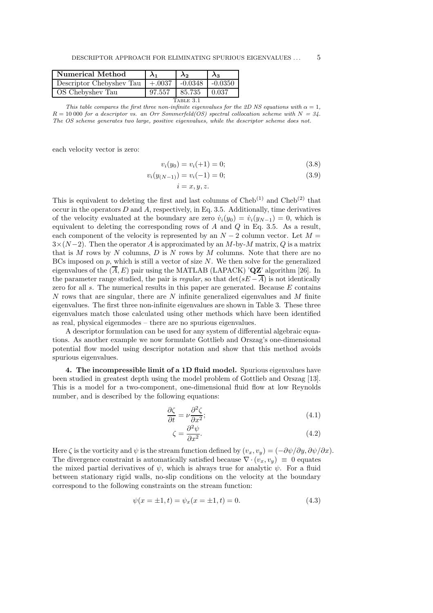| Numerical Method         |                     | λ2     | Aз        |  |
|--------------------------|---------------------|--------|-----------|--|
| Descriptor Chebyshev Tau | $+.0037$   $-.0348$ |        | $-0.0350$ |  |
| OS Chebyshev Tau         | 97.557              | 85.735 | 10.037    |  |
| TABLE 3.1                |                     |        |           |  |

This table compares the first three non-infinite eigenvalues for the 2D NS equations with  $\alpha = 1$ ,  $R = 10000$  for a descriptor vs. an Orr Sommerfeld(OS) spectral collocation scheme with  $N = 34$ . The OS scheme generates two large, positive eigenvalues, while the descriptor scheme does not.

each velocity vector is zero:

$$
v_i(y_0) = v_i(+1) = 0;
$$
\n(3.8)

$$
v_i(y_{(N-1)}) = v_i(-1) = 0;
$$
\n(3.9)

$$
i=x,y,z.
$$

This is equivalent to deleting the first and last columns of  $\text{Cheb}^{(1)}$  and  $\text{Cheb}^{(2)}$  that occur in the operators  $D$  and  $A$ , respectively, in Eq. 3.5. Additionally, time derivatives of the velocity evaluated at the boundary are zero  $\dot{v}_i(y_0) = \dot{v}_i(y_{N-1}) = 0$ , which is equivalent to deleting the corresponding rows of  $A$  and  $Q$  in Eq. 3.5. As a result, each component of the velocity is represented by an  $N-2$  column vector. Let  $M =$  $3\times(N-2)$ . Then the operator A is approximated by an M-by-M matrix, Q is a matrix that is M rows by N columns,  $D$  is N rows by M columns. Note that there are no BCs imposed on  $p$ , which is still a vector of size  $N$ . We then solve for the generalized eigenvalues of the  $(\overline{A}, E)$  pair using the MATLAB (LAPACK) 'QZ' algorithm [26]. In the parameter range studied, the pair is regular, so that  $\det(sE - \overline{A})$  is not identically zero for all  $s$ . The numerical results in this paper are generated. Because  $E$  contains  $N$  rows that are singular, there are  $N$  infinite generalized eigenvalues and  $M$  finite eigenvalues. The first three non-infinite eigenvalues are shown in Table 3. These three eigenvalues match those calculated using other methods which have been identified as real, physical eigenmodes – there are no spurious eigenvalues.

A descriptor formulation can be used for any system of differential algebraic equations. As another example we now formulate Gottlieb and Orszag's one-dimensional potential flow model using descriptor notation and show that this method avoids spurious eigenvalues.

4. The incompressible limit of a 1D fluid model. Spurious eigenvalues have been studied in greatest depth using the model problem of Gottlieb and Orszag [13]. This is a model for a two-component, one-dimensional fluid flow at low Reynolds number, and is described by the following equations:

$$
\frac{\partial \zeta}{\partial t} = \nu \frac{\partial^2 \zeta}{\partial x^2};\tag{4.1}
$$

$$
\zeta = \frac{\partial^2 \psi}{\partial x^2}.\tag{4.2}
$$

Here  $\zeta$  is the vorticity and  $\psi$  is the stream function defined by  $(v_x, v_y) = (-\partial \psi/\partial y, \partial \psi/\partial x)$ . The divergence constraint is automatically satisfied because  $\nabla \cdot (v_x, v_y) \equiv 0$  equates the mixed partial derivatives of  $\psi$ , which is always true for analytic  $\psi$ . For a fluid between stationary rigid walls, no-slip conditions on the velocity at the boundary correspond to the following constraints on the stream function:

$$
\psi(x = \pm 1, t) = \psi_x(x = \pm 1, t) = 0.
$$
\n(4.3)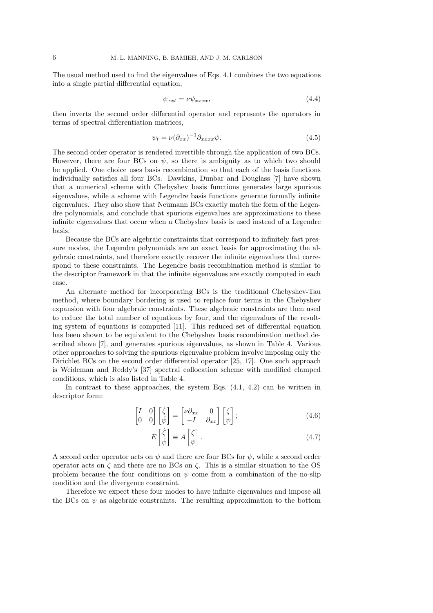The usual method used to find the eigenvalues of Eqs. 4.1 combines the two equations into a single partial differential equation,

$$
\psi_{xxt} = \nu \psi_{xxxx},\tag{4.4}
$$

then inverts the second order differential operator and represents the operators in terms of spectral differentiation matrices,

$$
\psi_t = \nu (\partial_{xx})^{-1} \partial_{xxxx} \psi.
$$
\n(4.5)

The second order operator is rendered invertible through the application of two BCs. However, there are four BCs on  $\psi$ , so there is ambiguity as to which two should be applied. One choice uses basis recombination so that each of the basis functions individually satisfies all four BCs. Dawkins, Dunbar and Douglass [7] have shown that a numerical scheme with Chebyshev basis functions generates large spurious eigenvalues, while a scheme with Legendre basis functions generate formally infinite eigenvalues. They also show that Neumann BCs exactly match the form of the Legendre polynomials, and conclude that spurious eigenvalues are approximations to these infinite eigenvalues that occur when a Chebyshev basis is used instead of a Legendre basis.

Because the BCs are algebraic constraints that correspond to infinitely fast pressure modes, the Legendre polynomials are an exact basis for approximating the algebraic constraints, and therefore exactly recover the infinite eigenvalues that correspond to these constraints. The Legendre basis recombination method is similar to the descriptor framework in that the infinite eigenvalues are exactly computed in each case.

An alternate method for incorporating BCs is the traditional Chebyshev-Tau method, where boundary bordering is used to replace four terms in the Chebyshev expansion with four algebraic constraints. These algebraic constraints are then used to reduce the total number of equations by four, and the eigenvalues of the resulting system of equations is computed [11]. This reduced set of differential equation has been shown to be equivalent to the Chebyshev basis recombination method described above [7], and generates spurious eigenvalues, as shown in Table 4. Various other approaches to solving the spurious eigenvalue problem involve imposing only the Dirichlet BCs on the second order differential operator [25, 17]. One such approach is Weideman and Reddy's [37] spectral collocation scheme with modified clamped conditions, which is also listed in Table 4.

In contrast to these approaches, the system Eqs.  $(4.1, 4.2)$  can be written in descriptor form:

$$
\begin{bmatrix} I & 0 \\ 0 & 0 \end{bmatrix} \begin{bmatrix} \dot{\zeta} \\ \dot{\psi} \end{bmatrix} = \begin{bmatrix} \nu \partial_{xx} & 0 \\ -I & \partial_{xx} \end{bmatrix} \begin{bmatrix} \zeta \\ \psi \end{bmatrix};
$$
(4.6)

$$
E\begin{bmatrix} \dot{\zeta} \\ \dot{\psi} \end{bmatrix} \equiv A\begin{bmatrix} \zeta \\ \psi \end{bmatrix}.
$$
 (4.7)

A second order operator acts on  $\psi$  and there are four BCs for  $\psi$ , while a second order operator acts on  $\zeta$  and there are no BCs on  $\zeta$ . This is a similar situation to the OS problem because the four conditions on  $\psi$  come from a combination of the no-slip condition and the divergence constraint.

Therefore we expect these four modes to have infinite eigenvalues and impose all the BCs on  $\psi$  as algebraic constraints. The resulting approximation to the bottom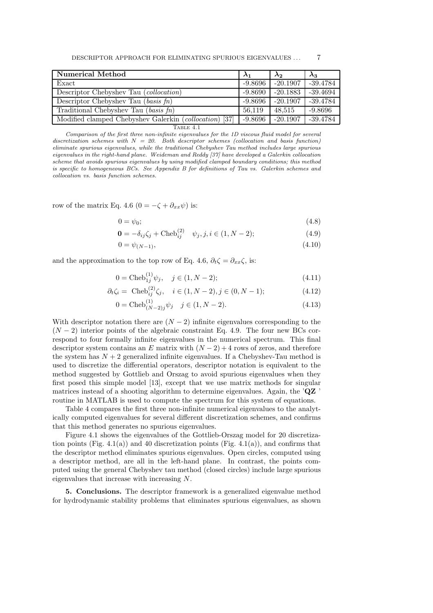| Numerical Method                                                       | $\lambda_1$ | $\lambda_2$ | $\lambda_3$ |
|------------------------------------------------------------------------|-------------|-------------|-------------|
| Exact                                                                  | $-9.8696$   | $-20.1907$  | $-39.4784$  |
| Descriptor Chebyshev Tau (collocation)                                 | $-9.8690$   | $-20.1883$  | $-39.4694$  |
| Descriptor Chebyshev Tau (basis $fn$ )                                 | $-9.8696$   | $-20.1907$  | $-39.4784$  |
| Traditional Chebyshev Tau (basis $fn$ )                                | 56.119      | 48,515      | $-9.8696$   |
| $\left[37\right]$<br>Modified clamped Chebyshev Galerkin (collocation) | $-9.8696$   | $-20.1907$  | $-39.4784$  |
| Table 4.1                                                              |             |             |             |

Comparison of the first three non-infinite eigenvalues for the 1D viscous fluid model for several discretization schemes with  $N = 20$ . Both descriptor schemes (collocation and basis function) eliminate spurious eigenvalues, while the traditional Chebyshev Tau method includes large spurious eigenvalues in the right-hand plane. Weideman and Reddy [37] have developed a Galerkin collocation scheme that avoids spurious eigenvalues by using modified clamped boundary conditions; this method is specific to homogeneous BCs. See Appendix B for definitions of Tau vs. Galerkin schemes and collocation vs. basis function schemes.

row of the matrix Eq. 4.6 (0 =  $-\zeta + \partial_{xx}\psi$ ) is:

$$
0 = \psi_0; \tag{4.8}
$$

$$
\mathbf{0} = -\delta_{ij}\zeta_j + \text{Cheb}_{ij}^{(2)} \quad \psi_j, j, i \in (1, N - 2); \tag{4.9}
$$

$$
0 = \psi_{(N-1)}, \tag{4.10}
$$

and the approximation to the top row of Eq. 4.6,  $\partial_t \zeta = \partial_{xx} \zeta$ , is:

$$
0 = \text{Cheb}_{1j}^{(1)} \psi_j, \quad j \in (1, N - 2); \tag{4.11}
$$

$$
\partial_t \zeta_i = \text{Cheb}_{ij}^{(2)} \zeta_j, \quad i \in (1, N - 2), j \in (0, N - 1); \tag{4.12}
$$

$$
0 = \text{Cheb}_{(N-2)j}^{(1)} \psi_j \quad j \in (1, N-2). \tag{4.13}
$$

With descriptor notation there are  $(N-2)$  infinite eigenvalues corresponding to the  $(N-2)$  interior points of the algebraic constraint Eq. 4.9. The four new BCs correspond to four formally infinite eigenvalues in the numerical spectrum. This final descriptor system contains an E matrix with  $(N-2) + 4$  rows of zeros, and therefore the system has  $N + 2$  generalized infinite eigenvalues. If a Chebyshev-Tau method is used to discretize the differential operators, descriptor notation is equivalent to the method suggested by Gottlieb and Orszag to avoid spurious eigenvalues when they first posed this simple model [13], except that we use matrix methods for singular matrices instead of a shooting algorithm to determine eigenvalues. Again, the 'QZ ' routine in MATLAB is used to compute the spectrum for this system of equations.

Table 4 compares the first three non-infinite numerical eigenvalues to the analytically computed eigenvalues for several different discretization schemes, and confirms that this method generates no spurious eigenvalues.

Figure 4.1 shows the eigenvalues of the Gottlieb-Orszag model for 20 discretization points (Fig. 4.1(a)) and 40 discretization points (Fig. 4.1(a)), and confirms that the descriptor method eliminates spurious eigenvalues. Open circles, computed using a descriptor method, are all in the left-hand plane. In contrast, the points computed using the general Chebyshev tau method (closed circles) include large spurious eigenvalues that increase with increasing N.

5. Conclusions. The descriptor framework is a generalized eigenvalue method for hydrodynamic stability problems that eliminates spurious eigenvalues, as shown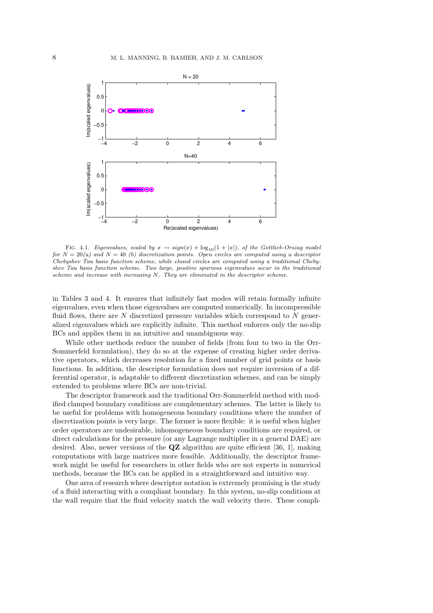

FIG. 4.1. Eigenvalues, scaled by  $x \to sign(x) + log_{10}(1 + |x|)$ , of the Gottlieb-Orszag model for  $N = 20(a)$  and  $N = 40$  (b) discretization points. Open circles are computed using a descriptor Chebyshev Tau basis function scheme, while closed circles are computed using a traditional Chebyshev Tau basis function scheme. Two large, positive spurious eigenvalues occur in the traditional scheme and increase with increasing N. They are eliminated in the descriptor scheme.

in Tables 3 and 4. It ensures that infinitely fast modes will retain formally infinite eigenvalues, even when those eigenvalues are computed numerically. In incompressible fluid flows, there are  $N$  discretized pressure variables which correspond to  $N$  generalized eigenvalues which are explicitly infinite. This method enforces only the no-slip BCs and applies them in an intuitive and unambiguous way.

While other methods reduce the number of fields (from four to two in the Orr-Sommerfeld formulation), they do so at the expense of creating higher order derivative operators, which decreases resolution for a fixed number of grid points or basis functions. In addition, the descriptor formulation does not require inversion of a differential operator, is adaptable to different discretization schemes, and can be simply extended to problems where BCs are non-trivial.

The descriptor framework and the traditional Orr-Sommerfeld method with modified clamped boundary conditions are complementary schemes. The latter is likely to be useful for problems with homogeneous boundary conditions where the number of discretization points is very large. The former is more flexible: it is useful when higher order operators are undesirable, inhomogeneous boundary conditions are required, or direct calculations for the pressure (or any Lagrange multiplier in a general DAE) are desired. Also, newer versions of the QZ algorithm are quite efficient [36, 1], making computations with large matrices more feasible. Additionally, the descriptor framework might be useful for researchers in other fields who are not experts in numerical methods, because the BCs can be applied in a straightforward and intuitive way.

One area of research where descriptor notation is extremely promising is the study of a fluid interacting with a compliant boundary. In this system, no-slip conditions at the wall require that the fluid velocity match the wall velocity there. These compli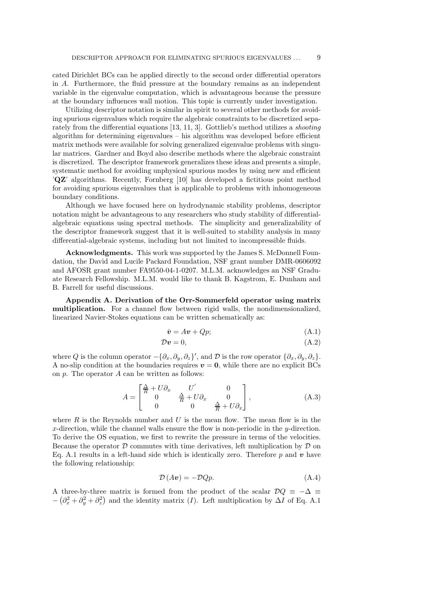cated Dirichlet BCs can be applied directly to the second order differential operators in A. Furthermore, the fluid pressure at the boundary remains as an independent variable in the eigenvalue computation, which is advantageous because the pressure at the boundary influences wall motion. This topic is currently under investigation.

Utilizing descriptor notation is similar in spirit to several other methods for avoiding spurious eigenvalues which require the algebraic constraints to be discretized separately from the differential equations [13, 11, 3]. Gottlieb's method utilizes a shooting algorithm for determining eigenvalues – his algorithm was developed before efficient matrix methods were available for solving generalized eigenvalue problems with singular matrices. Gardner and Boyd also describe methods where the algebraic constraint is discretized. The descriptor framework generalizes these ideas and presents a simple, systematic method for avoiding unphysical spurious modes by using new and efficient 'QZ' algorithms. Recently, Fornberg [10] has developed a fictitious point method for avoiding spurious eigenvalues that is applicable to problems with inhomogeneous boundary conditions.

Although we have focused here on hydrodynamic stability problems, descriptor notation might be advantageous to any researchers who study stability of differentialalgebraic equations using spectral methods. The simplicity and generalizability of the descriptor framework suggest that it is well-suited to stability analysis in many differential-algebraic systems, including but not limited to incompressible fluids.

Acknowledgments. This work was supported by the James S. McDonnell Foundation, the David and Lucile Packard Foundation, NSF grant number DMR-0606092 and AFOSR grant number FA9550-04-1-0207. M.L.M. acknowledges an NSF Graduate Research Fellowship. M.L.M. would like to thank B. Kagstrom, E. Dunham and B. Farrell for useful discussions.

Appendix A. Derivation of the Orr-Sommerfeld operator using matrix multiplication. For a channel flow between rigid walls, the nondimensionalized, linearized Navier-Stokes equations can be written schematically as:

$$
\dot{\mathbf{v}} = A\mathbf{v} + Qp; \tag{A.1}
$$

$$
\mathcal{D}\mathbf{v} = 0,\tag{A.2}
$$

where Q is the column operator  $-\{\partial_x, \partial_y, \partial_z\}'$ , and  $\mathcal D$  is the row operator  $\{\partial_x, \partial_y, \partial_z\}$ . A no-slip condition at the boundaries requires  $v = 0$ , while there are no explicit BCs on  $p$ . The operator  $A$  can be written as follows:

$$
A = \begin{bmatrix} \frac{\Delta}{R} + U\partial_x & U' & 0\\ 0 & \frac{\Delta}{R} + U\partial_x & 0\\ 0 & 0 & \frac{\Delta}{R} + U\partial_x \end{bmatrix},
$$
(A.3)

where  $R$  is the Reynolds number and  $U$  is the mean flow. The mean flow is in the x-direction, while the channel walls ensure the flow is non-periodic in the  $y$ -direction. To derive the OS equation, we first to rewrite the pressure in terms of the velocities. Because the operator  $\mathcal D$  commutes with time derivatives, left multiplication by  $\mathcal D$  on Eq. A.1 results in a left-hand side which is identically zero. Therefore  $p$  and  $v$  have the following relationship:

$$
\mathcal{D}(A\mathbf{v}) = -\mathcal{D}Qp.\tag{A.4}
$$

A three-by-three matrix is formed from the product of the scalar  $\mathcal{D}Q \equiv -\Delta \equiv$  $-\left(\partial_x^2 + \partial_y^2 + \partial_z^2\right)$  and the identity matrix (I). Left multiplication by  $\Delta I$  of Eq. A.1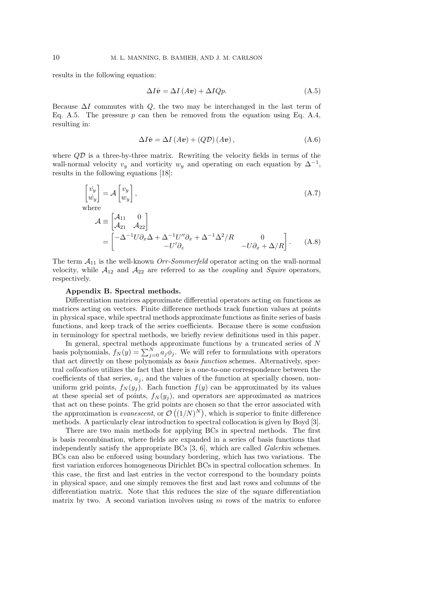results in the following equation:

$$
\Delta I \dot{\mathbf{v}} = \Delta I (A \mathbf{v}) + \Delta I Q p. \tag{A.5}
$$

Because  $\Delta I$  commutes with Q, the two may be interchanged in the last term of Eq. A.5. The pressure  $p$  can then be removed from the equation using Eq. A.4, resulting in:

$$
\Delta I\dot{v} = \Delta I (Av) + (Q\mathcal{D})(Av), \qquad (A.6)
$$

where  $QD$  is a three-by-three matrix. Rewriting the velocity fields in terms of the wall-normal velocity  $v_y$  and vorticity  $w_y$  and operating on each equation by  $\Delta^{-1}$ , results in the following equations [18]:

$$
\begin{bmatrix} \dot{v}_y \\ \dot{w}_y \end{bmatrix} = \mathcal{A} \begin{bmatrix} v_y \\ w_y \end{bmatrix},
$$
\nwhere\n
$$
\mathcal{A} \equiv \begin{bmatrix} \mathcal{A}_{11} & 0 \\ \mathcal{A}_{21} & \mathcal{A}_{22} \end{bmatrix}
$$
\n
$$
= \begin{bmatrix} -\Delta^{-1} U \partial_x \Delta + \Delta^{-1} U'' \partial_x + \Delta^{-1} \Delta^2 / R & 0 \\ -U' \partial_z & -U \partial_x + \Delta / R \end{bmatrix}.
$$
\n(A.8)

The term  $A_{11}$  is the well-known *Orr-Sommerfeld* operator acting on the wall-normal velocity, while  $A_{12}$  and  $A_{22}$  are referred to as the *coupling* and *Squire* operators, respectively.

## Appendix B. Spectral methods.

Differentiation matrices approximate differential operators acting on functions as matrices acting on vectors. Finite difference methods track function values at points in physical space, while spectral methods approximate functions as finite series of basis functions, and keep track of the series coefficients. Because there is some confusion in terminology for spectral methods, we briefly review definitions used in this paper.

In general, spectral methods approximate functions by a truncated series of N basis polynomials,  $f_N(y) = \sum_{j=0}^N a_j \phi_j$ . We will refer to formulations with operators that act directly on these polynomials as basis function schemes. Alternatively, spectral collocation utilizes the fact that there is a one-to-one correspondence between the coefficients of that series,  $a_j$ , and the values of the function at specially chosen, nonuniform grid points,  $f_N(y_j)$ . Each function  $f(y)$  can be approximated by its values at these special set of points,  $f_N(y_j)$ , and operators are approximated as matrices that act on these points. The grid points are chosen so that the error associated with the approximation is *evanescent*, or  $\mathcal{O}((1/N)^N)$ , which is superior to finite difference methods. A particularly clear introduction to spectral collocation is given by Boyd [3].

There are two main methods for applying BCs in spectral methods. The first is basis recombination, where fields are expanded in a series of basis functions that independently satisfy the appropriate BCs [3, 6], which are called Galerkin schemes. BCs can also be enforced using boundary bordering, which has two variations. The first variation enforces homogeneous Dirichlet BCs in spectral collocation schemes. In this case, the first and last entries in the vector correspond to the boundary points in physical space, and one simply removes the first and last rows and columns of the differentiation matrix. Note that this reduces the size of the square differentiation matrix by two. A second variation involves using  $m$  rows of the matrix to enforce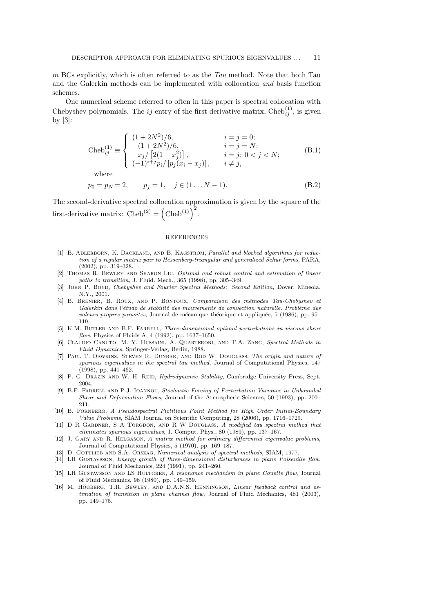$m$  BCs explicitly, which is often referred to as the  $Tau$  method. Note that both Tau and the Galerkin methods can be implemented with collocation and basis function schemes.

One numerical scheme referred to often in this paper is spectral collocation with Chebyshev polynomials. The *ij* entry of the first derivative matrix, Cheb $_{ij}^{(1)}$ , is given by  $[3]$ :

Cheb<sub>ij</sub><sup>(1)</sup> = 
$$
\begin{cases} (1+2N^2)/6, & i = j = 0; \\ -(1+2N^2)/6, & i = j = N; \\ -x_j/[2(1-x_j^2)], & i = j; 0 < j < N; \\ (-1)^{i+j}p_i/[p_j(x_i - x_j)], & i \neq j, \end{cases}
$$
 (B.1)

where

$$
p_0 = p_N = 2, \qquad p_j = 1, \quad j \in (1...N-1). \tag{B.2}
$$

The second-derivative spectral collocation approximation is given by the square of the first-derivative matrix: Cheb<sup>(2)</sup> =  $(\text{Cheb}^{(1)})^2$ .

## REFERENCES

- [1] B. ADLERBORN, K. DACKLAND, AND B. KAGSTROM, Parallel and blocked algorithms for reduction of a regular matrix pair to Hessenberg-triangular and generalized Schur forms, PARA, (2002), pp. 319–328.
- [2] Thomas R. Bewley and Sharon Liu, Optimal and robust control and estimation of linear paths to transition, J. Fluid. Mech., 365 (1998), pp. 305–349.
- [3] John P. Boyd, Chebyshev and Fourier Spectral Methods: Second Edition, Dover, Mineola, N.Y., 2001.
- [4] B. BRENIER, B. ROUX, AND P. BONTOUX, Comparaison des méthodes Tau-Chebyshev et Galerkin dans l'étude de stabilité des mouvements de convection naturelle. Problème des valeurs propres parasites, Journal de mécanique théorique et appliquée, 5 (1986), pp. 95– 119.
- [5] K.M. BUTLER AND B.F. FARRELL, Three-dimensional optimal perturbations in viscous shear flow, Physics of Fluids A, 4 (1992), pp. 1637–1650.
- [6] Claudio Canuto, M. Y. Hussaini, A. Quarteroni, and T.A. Zang, Spectral Methods in Fluid Dynamics, Springer-Verlag, Berlin, 1988.
- [7] Paul T. Dawkins, Steven R. Dunbar, and Rod W. Douglass, The origin and nature of spurious eigenvalues in the spectral tau method, Journal of Computational Physics, 147 (1998), pp. 441–462.
- [8] P. G. DRAZIN AND W. H. REID, *Hydrodynamic Stability*, Cambridge University Press, Sept. 2004.
- [9] B.F. FARRELL AND P.J. IOANNOU, Stochastic Forcing of Perturbation Variance in Unbounded Shear and Deformation Flows, Journal of the Atmospheric Sciences, 50 (1993), pp. 200– 211.
- [10] B. Fornberg, A Pseudospectral Fictitious Point Method for High Order Initial-Boundary Value Problems, SIAM Journal on Scientific Computing, 28 (2006), pp. 1716–1729.
- [11] D R GARDNER, S A TORGDON, AND R W DOUGLASS, A modified tau spectral method that eliminates spurious eigenvalues, J. Comput. Phys., 80 (1989), pp. 137–167.
- [12] J. GARY AND R. HELGASON, A matrix method for ordinary differential eigenvalue problems, Journal of Computational Physics, 5 (1970), pp. 169–187.
- [13] D. GOTTLIEB AND S.A. ORSZAG, Numerical analysis of spectral methods, SIAM, 1977.
- [14] LH Gustavsson, Energy growth of three-dimensional disturbances in plane Poiseuille flow, Journal of Fluid Mechanics, 224 (1991), pp. 241–260.
- [15] LH GUSTAVSSON AND LS HULTGREN, A resonance mechanism in plane Couette flow, Journal of Fluid Mechanics, 98 (1980), pp. 149–159.
- [16] M. HÖGBERG, T.R. BEWLEY, AND D.A.N.S. HENNINGSON, Linear feedback control and estimation of transition in plane channel flow, Journal of Fluid Mechanics, 481 (2003), pp. 149–175.